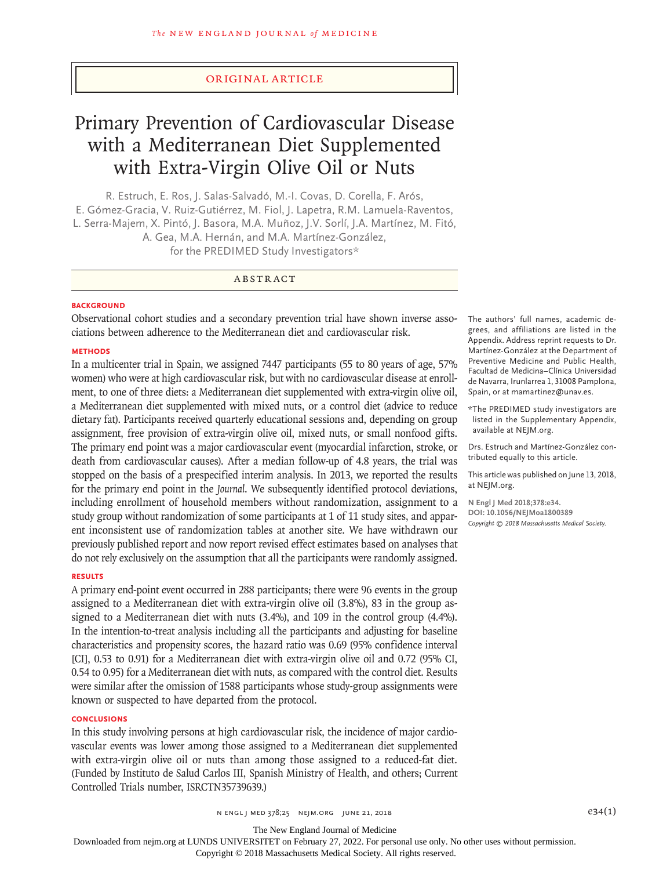# Original Article

# Primary Prevention of Cardiovascular Disease with a Mediterranean Diet Supplemented with Extra-Virgin Olive Oil or Nuts

R. Estruch, E. Ros, J. Salas-Salvadó, M.-I. Covas, D. Corella, F. Arós, E. Gómez-Gracia, V. Ruiz-Gutiérrez, M. Fiol, J. Lapetra, R.M. Lamuela-Raventos, L. Serra-Majem, X. Pintó, J. Basora, M.A. Muñoz, J.V. Sorlí, J.A. Martínez, M. Fitó, A. Gea, M.A. Hernán, and M.A. Martínez-González, for the PREDIMED Study Investigators\*

# ABSTRACT

## **BACKGROUND**

Observational cohort studies and a secondary prevention trial have shown inverse associations between adherence to the Mediterranean diet and cardiovascular risk.

## **METHODS**

In a multicenter trial in Spain, we assigned 7447 participants (55 to 80 years of age, 57% women) who were at high cardiovascular risk, but with no cardiovascular disease at enrollment, to one of three diets: a Mediterranean diet supplemented with extra-virgin olive oil, a Mediterranean diet supplemented with mixed nuts, or a control diet (advice to reduce dietary fat). Participants received quarterly educational sessions and, depending on group assignment, free provision of extra-virgin olive oil, mixed nuts, or small nonfood gifts. The primary end point was a major cardiovascular event (myocardial infarction, stroke, or death from cardiovascular causes). After a median follow-up of 4.8 years, the trial was stopped on the basis of a prespecified interim analysis. In 2013, we reported the results for the primary end point in the *Journal*. We subsequently identified protocol deviations, including enrollment of household members without randomization, assignment to a study group without randomization of some participants at 1 of 11 study sites, and apparent inconsistent use of randomization tables at another site. We have withdrawn our previously published report and now report revised effect estimates based on analyses that do not rely exclusively on the assumption that all the participants were randomly assigned.

# **RESULTS**

A primary end-point event occurred in 288 participants; there were 96 events in the group assigned to a Mediterranean diet with extra-virgin olive oil (3.8%), 83 in the group assigned to a Mediterranean diet with nuts (3.4%), and 109 in the control group (4.4%). In the intention-to-treat analysis including all the participants and adjusting for baseline characteristics and propensity scores, the hazard ratio was 0.69 (95% confidence interval [CI], 0.53 to 0.91) for a Mediterranean diet with extra-virgin olive oil and 0.72 (95% CI, 0.54 to 0.95) for a Mediterranean diet with nuts, as compared with the control diet. Results were similar after the omission of 1588 participants whose study-group assignments were known or suspected to have departed from the protocol.

#### **CONCLUSIONS**

In this study involving persons at high cardiovascular risk, the incidence of major cardiovascular events was lower among those assigned to a Mediterranean diet supplemented with extra-virgin olive oil or nuts than among those assigned to a reduced-fat diet. (Funded by Instituto de Salud Carlos III, Spanish Ministry of Health, and others; Current Controlled Trials number, ISRCTN35739639.)

The authors' full names, academic degrees, and affiliations are listed in the Appendix. Address reprint requests to Dr. Martínez-González at the Department of Preventive Medicine and Public Health, Facultad de Medicina–Clínica Universidad de Navarra, Irunlarrea 1, 31008 Pamplona, Spain, or at mamartinez@unav.es.

\*The PREDIMED study investigators are listed in the Supplementary Appendix, available at NEJM.org.

Drs. Estruch and Martínez-González contributed equally to this article.

This article was published on June 13, 2018, at NEJM.org.

**N Engl J Med 2018;378:e34. DOI: 10.1056/NEJMoa1800389** *Copyright © 2018 Massachusetts Medical Society.*

The New England Journal of Medicine

Downloaded from nejm.org at LUNDS UNIVERSITET on February 27, 2022. For personal use only. No other uses without permission.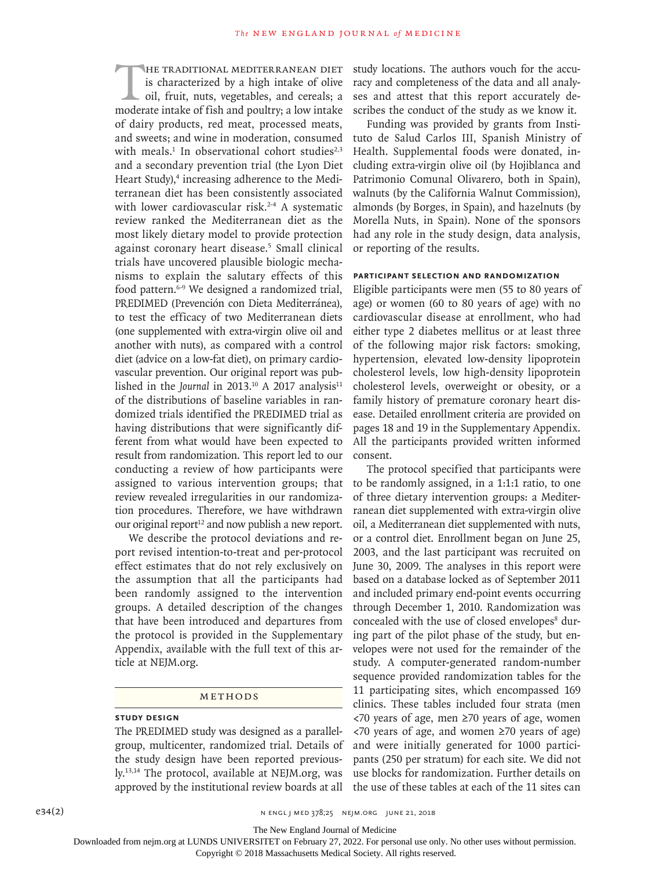HE TRADITIONAL MEDITERRANEAN DIET is characterized by a high intake of olive oil, fruit, nuts, vegetables, and cereals; a moderate intake of fish and poultry; a low intake of dairy products, red meat, processed meats, and sweets; and wine in moderation, consumed with meals.<sup>1</sup> In observational cohort studies<sup>2,3</sup> and a secondary prevention trial (the Lyon Diet Heart Study),<sup>4</sup> increasing adherence to the Mediterranean diet has been consistently associated with lower cardiovascular risk.<sup>2-4</sup> A systematic review ranked the Mediterranean diet as the most likely dietary model to provide protection against coronary heart disease.5 Small clinical trials have uncovered plausible biologic mechanisms to explain the salutary effects of this food pattern.6-9 We designed a randomized trial, PREDIMED (Prevención con Dieta Mediterránea), to test the efficacy of two Mediterranean diets (one supplemented with extra-virgin olive oil and another with nuts), as compared with a control diet (advice on a low-fat diet), on primary cardiovascular prevention. Our original report was published in the *Journal* in 2013.<sup>10</sup> A 2017 analysis<sup>11</sup> of the distributions of baseline variables in randomized trials identified the PREDIMED trial as having distributions that were significantly different from what would have been expected to result from randomization. This report led to our conducting a review of how participants were assigned to various intervention groups; that review revealed irregularities in our randomization procedures. Therefore, we have withdrawn our original report $12$  and now publish a new report.

We describe the protocol deviations and report revised intention-to-treat and per-protocol effect estimates that do not rely exclusively on the assumption that all the participants had been randomly assigned to the intervention groups. A detailed description of the changes that have been introduced and departures from the protocol is provided in the Supplementary Appendix, available with the full text of this article at NEJM.org.

# Methods

# **Study Design**

The PREDIMED study was designed as a parallelgroup, multicenter, randomized trial. Details of the study design have been reported previously.13,14 The protocol, available at NEJM.org, was approved by the institutional review boards at all study locations. The authors vouch for the accuracy and completeness of the data and all analyses and attest that this report accurately describes the conduct of the study as we know it.

Funding was provided by grants from Instituto de Salud Carlos III, Spanish Ministry of Health. Supplemental foods were donated, including extra-virgin olive oil (by Hojiblanca and Patrimonio Comunal Olivarero, both in Spain), walnuts (by the California Walnut Commission), almonds (by Borges, in Spain), and hazelnuts (by Morella Nuts, in Spain). None of the sponsors had any role in the study design, data analysis, or reporting of the results.

## **Participant Selection and Randomization**

Eligible participants were men (55 to 80 years of age) or women (60 to 80 years of age) with no cardiovascular disease at enrollment, who had either type 2 diabetes mellitus or at least three of the following major risk factors: smoking, hypertension, elevated low-density lipoprotein cholesterol levels, low high-density lipoprotein cholesterol levels, overweight or obesity, or a family history of premature coronary heart disease. Detailed enrollment criteria are provided on pages 18 and 19 in the Supplementary Appendix. All the participants provided written informed consent.

The protocol specified that participants were to be randomly assigned, in a 1:1:1 ratio, to one of three dietary intervention groups: a Mediterranean diet supplemented with extra-virgin olive oil, a Mediterranean diet supplemented with nuts, or a control diet. Enrollment began on June 25, 2003, and the last participant was recruited on June 30, 2009. The analyses in this report were based on a database locked as of September 2011 and included primary end-point events occurring through December 1, 2010. Randomization was concealed with the use of closed envelopes<sup>8</sup> during part of the pilot phase of the study, but envelopes were not used for the remainder of the study. A computer-generated random-number sequence provided randomization tables for the 11 participating sites, which encompassed 169 clinics. These tables included four strata (men <70 years of age, men ≥70 years of age, women <70 years of age, and women ≥70 years of age) and were initially generated for 1000 participants (250 per stratum) for each site. We did not use blocks for randomization. Further details on the use of these tables at each of the 11 sites can

The New England Journal of Medicine

Downloaded from nejm.org at LUNDS UNIVERSITET on February 27, 2022. For personal use only. No other uses without permission.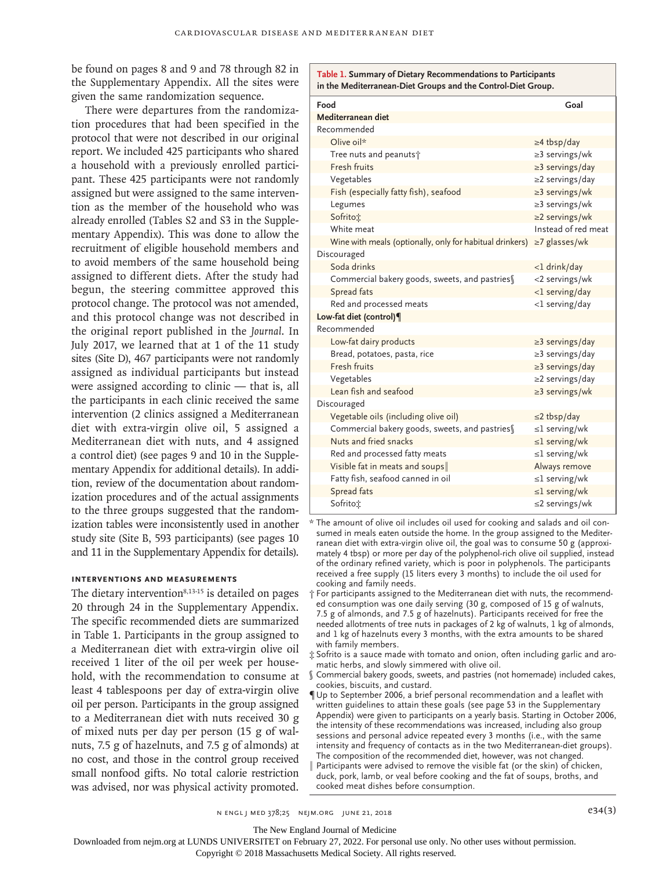be found on pages 8 and 9 and 78 through 82 in the Supplementary Appendix. All the sites were given the same randomization sequence.

There were departures from the randomization procedures that had been specified in the protocol that were not described in our original report. We included 425 participants who shared a household with a previously enrolled participant. These 425 participants were not randomly assigned but were assigned to the same intervention as the member of the household who was already enrolled (Tables S2 and S3 in the Supplementary Appendix). This was done to allow the recruitment of eligible household members and to avoid members of the same household being assigned to different diets. After the study had begun, the steering committee approved this protocol change. The protocol was not amended, and this protocol change was not described in the original report published in the *Journal*. In July 2017, we learned that at 1 of the 11 study sites (Site D), 467 participants were not randomly assigned as individual participants but instead were assigned according to clinic — that is, all the participants in each clinic received the same intervention (2 clinics assigned a Mediterranean diet with extra-virgin olive oil, 5 assigned a Mediterranean diet with nuts, and 4 assigned a control diet) (see pages 9 and 10 in the Supplementary Appendix for additional details). In addition, review of the documentation about randomization procedures and of the actual assignments to the three groups suggested that the randomization tables were inconsistently used in another study site (Site B, 593 participants) (see pages 10 and 11 in the Supplementary Appendix for details).

## **Interventions and Measurements**

The dietary intervention<sup>8,13-15</sup> is detailed on pages 20 through 24 in the Supplementary Appendix. The specific recommended diets are summarized in Table 1. Participants in the group assigned to a Mediterranean diet with extra-virgin olive oil received 1 liter of the oil per week per household, with the recommendation to consume at least 4 tablespoons per day of extra-virgin olive oil per person. Participants in the group assigned to a Mediterranean diet with nuts received 30 g of mixed nuts per day per person (15 g of walnuts, 7.5 g of hazelnuts, and 7.5 g of almonds) at no cost, and those in the control group received small nonfood gifts. No total calorie restriction was advised, nor was physical activity promoted.

| Table 1. Summary of Dietary Recommendations to Participants<br>in the Mediterranean-Diet Groups and the Control-Diet Group. |                       |
|-----------------------------------------------------------------------------------------------------------------------------|-----------------------|
| Food                                                                                                                        | Goal                  |
| Mediterranean diet                                                                                                          |                       |
| Recommended                                                                                                                 |                       |
| Olive oil*                                                                                                                  | $\geq$ 4 tbsp/day     |
| Tree nuts and peanuts <sup>+</sup>                                                                                          | $\geq$ 3 servings/wk  |
| Fresh fruits                                                                                                                | $\geq$ 3 servings/day |
| Vegetables                                                                                                                  | $\geq$ 2 servings/day |
| Fish (especially fatty fish), seafood                                                                                       | $\geq$ 3 servings/wk  |
| Legumes                                                                                                                     | $\geq$ 3 servings/wk  |
| Sofritoi                                                                                                                    | $\geq$ 2 servings/wk  |
| White meat                                                                                                                  | Instead of red meat   |
| Wine with meals (optionally, only for habitual drinkers)                                                                    | $\geq$ 7 glasses/wk   |
| Discouraged                                                                                                                 |                       |
| Soda drinks                                                                                                                 | <1 drink/day          |
| Commercial bakery goods, sweets, and pastries                                                                               | <2 servings/wk        |
| Spread fats                                                                                                                 | <1 serving/day        |
| Red and processed meats                                                                                                     | <1 serving/day        |
| Low-fat diet (control)¶                                                                                                     |                       |
| Recommended                                                                                                                 |                       |
| Low-fat dairy products                                                                                                      | $\geq$ 3 servings/day |
| Bread, potatoes, pasta, rice                                                                                                | $\geq$ 3 servings/day |
| Fresh fruits                                                                                                                | $\geq$ 3 servings/day |
| Vegetables                                                                                                                  | $\geq$ 2 servings/day |
| Lean fish and seafood                                                                                                       | $\geq$ 3 servings/wk  |
| Discouraged                                                                                                                 |                       |
| Vegetable oils (including olive oil)                                                                                        | $\leq$ 2 tbsp/day     |
| Commercial bakery goods, sweets, and pastries                                                                               | $\leq$ l serving/wk   |
| Nuts and fried snacks                                                                                                       | $\leq$ l serving/wk   |
| Red and processed fatty meats                                                                                               | $\leq$ l serving/wk   |
| Visible fat in meats and soups                                                                                              | Always remove         |
| Fatty fish, seafood canned in oil                                                                                           | $\leq$ 1 serving/wk   |
| Spread fats                                                                                                                 | $\leq$ l serving/wk   |
| Sofritoi                                                                                                                    | $\leq$ 2 servings/wk  |

\* The amount of olive oil includes oil used for cooking and salads and oil consumed in meals eaten outside the home. In the group assigned to the Mediterranean diet with extra-virgin olive oil, the goal was to consume 50 g (approximately 4 tbsp) or more per day of the polyphenol-rich olive oil supplied, instead of the ordinary refined variety, which is poor in polyphenols. The participants received a free supply (15 liters every 3 months) to include the oil used for cooking and family needs.

- † For participants assigned to the Mediterranean diet with nuts, the recommended consumption was one daily serving (30 g, composed of 15 g of walnuts, 7.5 g of almonds, and 7.5 g of hazelnuts). Participants received for free the needed allotments of tree nuts in packages of 2 kg of walnuts, 1 kg of almonds, and 1 kg of hazelnuts every 3 months, with the extra amounts to be shared with family members.
- ‡ Sofrito is a sauce made with tomato and onion, often including garlic and aromatic herbs, and slowly simmered with olive oil.
- § Commercial bakery goods, sweets, and pastries (not homemade) included cakes, cookies, biscuits, and custard.
- ¶ Up to September 2006, a brief personal recommendation and a leaflet with written guidelines to attain these goals (see page 53 in the Supplementary Appendix) were given to participants on a yearly basis. Starting in October 2006, the intensity of these recommendations was increased, including also group sessions and personal advice repeated every 3 months (i.e., with the same intensity and frequency of contacts as in the two Mediterranean-diet groups). The composition of the recommended diet, however, was not changed.
- Participants were advised to remove the visible fat (or the skin) of chicken, duck, pork, lamb, or veal before cooking and the fat of soups, broths, and cooked meat dishes before consumption.

The New England Journal of Medicine

Downloaded from nejm.org at LUNDS UNIVERSITET on February 27, 2022. For personal use only. No other uses without permission.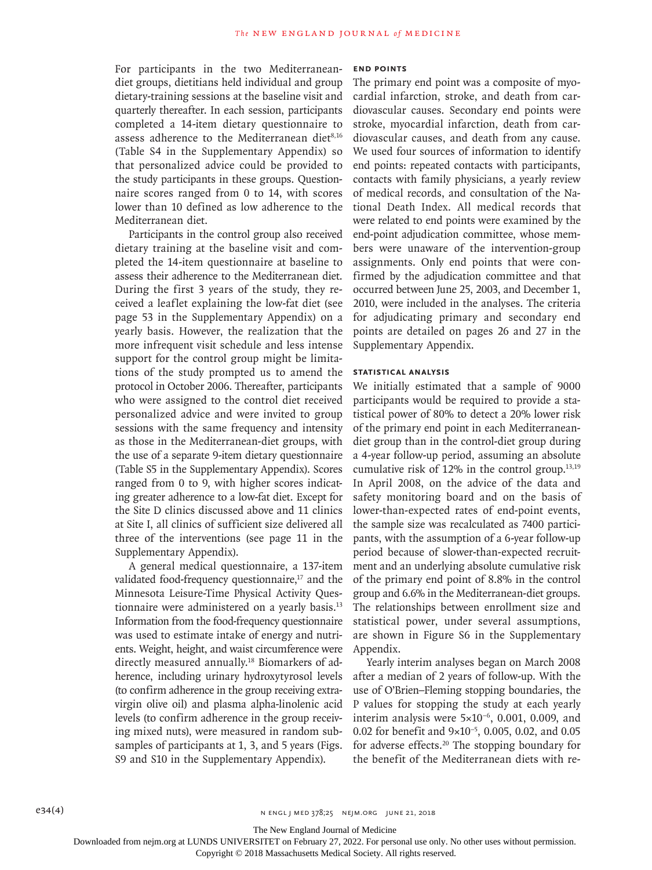For participants in the two Mediterraneandiet groups, dietitians held individual and group dietary-training sessions at the baseline visit and quarterly thereafter. In each session, participants completed a 14-item dietary questionnaire to assess adherence to the Mediterranean diet $8,16$ (Table S4 in the Supplementary Appendix) so that personalized advice could be provided to the study participants in these groups. Questionnaire scores ranged from 0 to 14, with scores lower than 10 defined as low adherence to the Mediterranean diet.

Participants in the control group also received dietary training at the baseline visit and completed the 14-item questionnaire at baseline to assess their adherence to the Mediterranean diet. During the first 3 years of the study, they received a leaflet explaining the low-fat diet (see page 53 in the Supplementary Appendix) on a yearly basis. However, the realization that the more infrequent visit schedule and less intense support for the control group might be limitations of the study prompted us to amend the protocol in October 2006. Thereafter, participants who were assigned to the control diet received personalized advice and were invited to group sessions with the same frequency and intensity as those in the Mediterranean-diet groups, with the use of a separate 9-item dietary questionnaire (Table S5 in the Supplementary Appendix). Scores ranged from 0 to 9, with higher scores indicating greater adherence to a low-fat diet. Except for the Site D clinics discussed above and 11 clinics at Site I, all clinics of sufficient size delivered all three of the interventions (see page 11 in the Supplementary Appendix).

A general medical questionnaire, a 137-item validated food-frequency questionnaire, $17$  and the Minnesota Leisure-Time Physical Activity Questionnaire were administered on a yearly basis.13 Information from the food-frequency questionnaire was used to estimate intake of energy and nutrients. Weight, height, and waist circumference were directly measured annually.18 Biomarkers of adherence, including urinary hydroxytyrosol levels (to confirm adherence in the group receiving extravirgin olive oil) and plasma alpha-linolenic acid levels (to confirm adherence in the group receiving mixed nuts), were measured in random subsamples of participants at 1, 3, and 5 years (Figs. S9 and S10 in the Supplementary Appendix).

## **End Points**

The primary end point was a composite of myocardial infarction, stroke, and death from cardiovascular causes. Secondary end points were stroke, myocardial infarction, death from cardiovascular causes, and death from any cause. We used four sources of information to identify end points: repeated contacts with participants, contacts with family physicians, a yearly review of medical records, and consultation of the National Death Index. All medical records that were related to end points were examined by the end-point adjudication committee, whose members were unaware of the intervention-group assignments. Only end points that were confirmed by the adjudication committee and that occurred between June 25, 2003, and December 1, 2010, were included in the analyses. The criteria for adjudicating primary and secondary end points are detailed on pages 26 and 27 in the Supplementary Appendix.

# **Statistical Analysis**

We initially estimated that a sample of 9000 participants would be required to provide a statistical power of 80% to detect a 20% lower risk of the primary end point in each Mediterraneandiet group than in the control-diet group during a 4-year follow-up period, assuming an absolute cumulative risk of  $12\%$  in the control group.<sup>13,19</sup> In April 2008, on the advice of the data and safety monitoring board and on the basis of lower-than-expected rates of end-point events, the sample size was recalculated as 7400 participants, with the assumption of a 6-year follow-up period because of slower-than-expected recruitment and an underlying absolute cumulative risk of the primary end point of 8.8% in the control group and 6.6% in the Mediterranean-diet groups. The relationships between enrollment size and statistical power, under several assumptions, are shown in Figure S6 in the Supplementary Appendix.

Yearly interim analyses began on March 2008 after a median of 2 years of follow-up. With the use of O'Brien–Fleming stopping boundaries, the P values for stopping the study at each yearly interim analysis were 5×10−6, 0.001, 0.009, and 0.02 for benefit and 9×10−5, 0.005, 0.02, and 0.05 for adverse effects.20 The stopping boundary for the benefit of the Mediterranean diets with re-

The New England Journal of Medicine

Downloaded from nejm.org at LUNDS UNIVERSITET on February 27, 2022. For personal use only. No other uses without permission.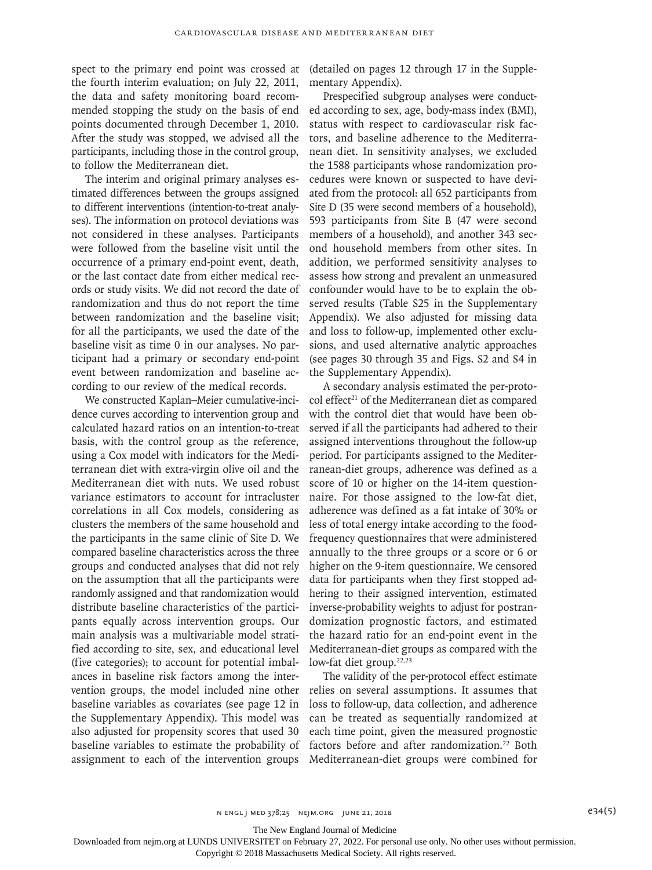spect to the primary end point was crossed at the fourth interim evaluation; on July 22, 2011, the data and safety monitoring board recommended stopping the study on the basis of end points documented through December 1, 2010. After the study was stopped, we advised all the participants, including those in the control group, to follow the Mediterranean diet.

The interim and original primary analyses estimated differences between the groups assigned to different interventions (intention-to-treat analyses). The information on protocol deviations was not considered in these analyses. Participants were followed from the baseline visit until the occurrence of a primary end-point event, death, or the last contact date from either medical records or study visits. We did not record the date of randomization and thus do not report the time between randomization and the baseline visit; for all the participants, we used the date of the baseline visit as time 0 in our analyses. No participant had a primary or secondary end-point event between randomization and baseline according to our review of the medical records.

We constructed Kaplan–Meier cumulative-incidence curves according to intervention group and calculated hazard ratios on an intention-to-treat basis, with the control group as the reference, using a Cox model with indicators for the Mediterranean diet with extra-virgin olive oil and the Mediterranean diet with nuts. We used robust variance estimators to account for intracluster correlations in all Cox models, considering as clusters the members of the same household and the participants in the same clinic of Site D. We compared baseline characteristics across the three groups and conducted analyses that did not rely on the assumption that all the participants were randomly assigned and that randomization would distribute baseline characteristics of the participants equally across intervention groups. Our main analysis was a multivariable model stratified according to site, sex, and educational level (five categories); to account for potential imbalances in baseline risk factors among the intervention groups, the model included nine other baseline variables as covariates (see page 12 in the Supplementary Appendix). This model was also adjusted for propensity scores that used 30 baseline variables to estimate the probability of assignment to each of the intervention groups

(detailed on pages 12 through 17 in the Supplementary Appendix).

Prespecified subgroup analyses were conducted according to sex, age, body-mass index (BMI), status with respect to cardiovascular risk factors, and baseline adherence to the Mediterranean diet. In sensitivity analyses, we excluded the 1588 participants whose randomization procedures were known or suspected to have deviated from the protocol: all 652 participants from Site D (35 were second members of a household), 593 participants from Site B (47 were second members of a household), and another 343 second household members from other sites. In addition, we performed sensitivity analyses to assess how strong and prevalent an unmeasured confounder would have to be to explain the observed results (Table S25 in the Supplementary Appendix). We also adjusted for missing data and loss to follow-up, implemented other exclusions, and used alternative analytic approaches (see pages 30 through 35 and Figs. S2 and S4 in the Supplementary Appendix).

A secondary analysis estimated the per-protocol effect<sup>21</sup> of the Mediterranean diet as compared with the control diet that would have been observed if all the participants had adhered to their assigned interventions throughout the follow-up period. For participants assigned to the Mediterranean-diet groups, adherence was defined as a score of 10 or higher on the 14-item questionnaire. For those assigned to the low-fat diet, adherence was defined as a fat intake of 30% or less of total energy intake according to the foodfrequency questionnaires that were administered annually to the three groups or a score or 6 or higher on the 9-item questionnaire. We censored data for participants when they first stopped adhering to their assigned intervention, estimated inverse-probability weights to adjust for postrandomization prognostic factors, and estimated the hazard ratio for an end-point event in the Mediterranean-diet groups as compared with the low-fat diet group.<sup>22,23</sup>

The validity of the per-protocol effect estimate relies on several assumptions. It assumes that loss to follow-up, data collection, and adherence can be treated as sequentially randomized at each time point, given the measured prognostic factors before and after randomization.<sup>22</sup> Both Mediterranean-diet groups were combined for

The New England Journal of Medicine

Downloaded from nejm.org at LUNDS UNIVERSITET on February 27, 2022. For personal use only. No other uses without permission.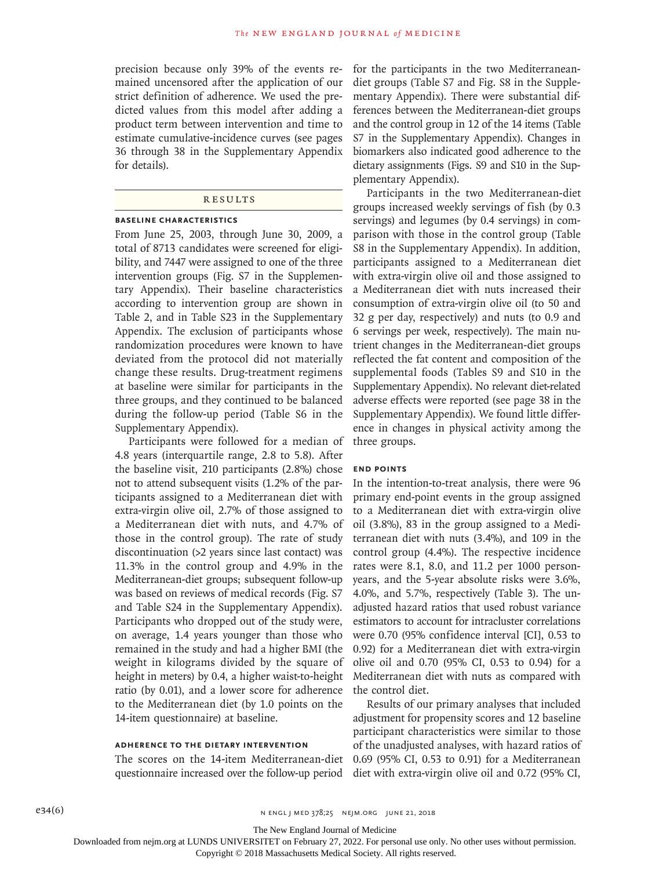precision because only 39% of the events remained uncensored after the application of our strict definition of adherence. We used the predicted values from this model after adding a product term between intervention and time to estimate cumulative-incidence curves (see pages 36 through 38 in the Supplementary Appendix for details).

# **RESULTS**

#### **Baseline Characteristics**

From June 25, 2003, through June 30, 2009, a total of 8713 candidates were screened for eligibility, and 7447 were assigned to one of the three intervention groups (Fig. S7 in the Supplementary Appendix). Their baseline characteristics according to intervention group are shown in Table 2, and in Table S23 in the Supplementary Appendix. The exclusion of participants whose randomization procedures were known to have deviated from the protocol did not materially change these results. Drug-treatment regimens at baseline were similar for participants in the three groups, and they continued to be balanced during the follow-up period (Table S6 in the Supplementary Appendix).

Participants were followed for a median of 4.8 years (interquartile range, 2.8 to 5.8). After the baseline visit, 210 participants (2.8%) chose not to attend subsequent visits (1.2% of the participants assigned to a Mediterranean diet with extra-virgin olive oil, 2.7% of those assigned to a Mediterranean diet with nuts, and 4.7% of those in the control group). The rate of study discontinuation (>2 years since last contact) was 11.3% in the control group and 4.9% in the Mediterranean-diet groups; subsequent follow-up was based on reviews of medical records (Fig. S7 and Table S24 in the Supplementary Appendix). Participants who dropped out of the study were, on average, 1.4 years younger than those who remained in the study and had a higher BMI (the weight in kilograms divided by the square of height in meters) by 0.4, a higher waist-to-height ratio (by 0.01), and a lower score for adherence to the Mediterranean diet (by 1.0 points on the 14-item questionnaire) at baseline.

## **Adherence to the Dietary Intervention**

The scores on the 14-item Mediterranean-diet questionnaire increased over the follow-up period for the participants in the two Mediterraneandiet groups (Table S7 and Fig. S8 in the Supplementary Appendix). There were substantial differences between the Mediterranean-diet groups and the control group in 12 of the 14 items (Table S7 in the Supplementary Appendix). Changes in biomarkers also indicated good adherence to the dietary assignments (Figs. S9 and S10 in the Supplementary Appendix).

Participants in the two Mediterranean-diet groups increased weekly servings of fish (by 0.3 servings) and legumes (by 0.4 servings) in comparison with those in the control group (Table S8 in the Supplementary Appendix). In addition, participants assigned to a Mediterranean diet with extra-virgin olive oil and those assigned to a Mediterranean diet with nuts increased their consumption of extra-virgin olive oil (to 50 and 32 g per day, respectively) and nuts (to 0.9 and 6 servings per week, respectively). The main nutrient changes in the Mediterranean-diet groups reflected the fat content and composition of the supplemental foods (Tables S9 and S10 in the Supplementary Appendix). No relevant diet-related adverse effects were reported (see page 38 in the Supplementary Appendix). We found little difference in changes in physical activity among the three groups.

#### **End Points**

In the intention-to-treat analysis, there were 96 primary end-point events in the group assigned to a Mediterranean diet with extra-virgin olive oil (3.8%), 83 in the group assigned to a Mediterranean diet with nuts (3.4%), and 109 in the control group (4.4%). The respective incidence rates were 8.1, 8.0, and 11.2 per 1000 personyears, and the 5-year absolute risks were 3.6%, 4.0%, and 5.7%, respectively (Table 3). The unadjusted hazard ratios that used robust variance estimators to account for intracluster correlations were 0.70 (95% confidence interval [CI], 0.53 to 0.92) for a Mediterranean diet with extra-virgin olive oil and 0.70 (95% CI, 0.53 to 0.94) for a Mediterranean diet with nuts as compared with the control diet.

Results of our primary analyses that included adjustment for propensity scores and 12 baseline participant characteristics were similar to those of the unadjusted analyses, with hazard ratios of 0.69 (95% CI, 0.53 to 0.91) for a Mediterranean diet with extra-virgin olive oil and 0.72 (95% CI,

The New England Journal of Medicine

Downloaded from nejm.org at LUNDS UNIVERSITET on February 27, 2022. For personal use only. No other uses without permission.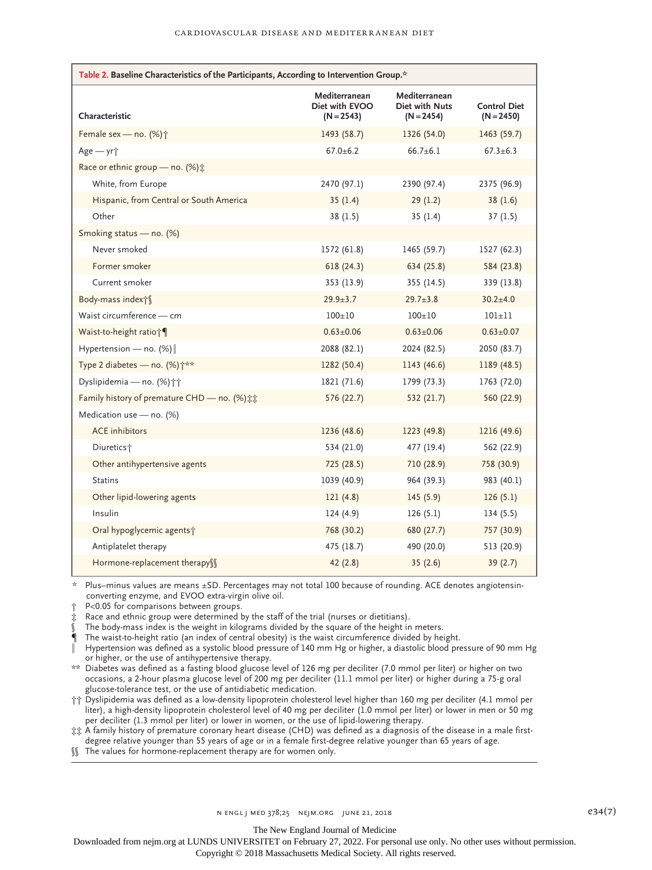| Table 2. Baseline Characteristics of the Participants, According to Intervention Group.* |                                                 |                                                 |                                     |
|------------------------------------------------------------------------------------------|-------------------------------------------------|-------------------------------------------------|-------------------------------------|
| Characteristic                                                                           | Mediterranean<br>Diet with EVOO<br>$(N = 2543)$ | Mediterranean<br>Diet with Nuts<br>$(N = 2454)$ | <b>Control Diet</b><br>$(N = 2450)$ |
| Female sex - no. (%) <sup>+</sup>                                                        | 1493 (58.7)                                     | 1326 (54.0)                                     | 1463 (59.7)                         |
| Age - yr <sup>+</sup>                                                                    | $67.0 + 6.2$                                    | $66.7 \pm 6.1$                                  | $67.3 \pm 6.3$                      |
| Race or ethnic group - no. (%):                                                          |                                                 |                                                 |                                     |
| White, from Europe                                                                       | 2470 (97.1)                                     | 2390 (97.4)                                     | 2375 (96.9)                         |
| Hispanic, from Central or South America                                                  | 35(1.4)                                         | 29(1.2)                                         | 38(1.6)                             |
| Other                                                                                    | 38(1.5)                                         | 35(1.4)                                         | 37(1.5)                             |
| Smoking status - no. (%)                                                                 |                                                 |                                                 |                                     |
| Never smoked                                                                             | 1572 (61.8)                                     | 1465 (59.7)                                     | 1527 (62.3)                         |
| Former smoker                                                                            | 618(24.3)                                       | 634 (25.8)                                      | 584 (23.8)                          |
| Current smoker                                                                           | 353 (13.9)                                      | 355(14.5)                                       | 339 (13.8)                          |
| Body-mass index†§                                                                        | $29.9 + 3.7$                                    | $29.7 \pm 3.8$                                  | $30.2 \pm 4.0$                      |
| Waist circumference — cm                                                                 | $100+10$                                        | $100+10$                                        | $101 + 11$                          |
| Waist-to-height ratio <sub>1</sub>                                                       | $0.63 \pm 0.06$                                 | $0.63 \pm 0.06$                                 | $0.63 \pm 0.07$                     |
| Hypertension - no. $(\%)$                                                                | 2088 (82.1)                                     | 2024 (82.5)                                     | 2050 (83.7)                         |
| Type 2 diabetes - no. (%) $\dagger$ **                                                   | 1282 (50.4)                                     | 1143 (46.6)                                     | 1189 (48.5)                         |
| Dyslipidemia - no. (%) ††                                                                | 1821 (71.6)                                     | 1799 (73.3)                                     | 1763 (72.0)                         |
| Family history of premature CHD - no. (%) ##                                             | 576 (22.7)                                      | 532(21.7)                                       | 560 (22.9)                          |
| Medication use - no. (%)                                                                 |                                                 |                                                 |                                     |
| <b>ACE</b> inhibitors                                                                    | 1236 (48.6)                                     | 1223 (49.8)                                     | 1216 (49.6)                         |
| Diuretics <sup>+</sup>                                                                   | 534 (21.0)                                      | 477 (19.4)                                      | 562 (22.9)                          |
| Other antihypertensive agents                                                            | 725 (28.5)                                      | 710 (28.9)                                      | 758 (30.9)                          |
| <b>Statins</b>                                                                           | 1039 (40.9)                                     | 964 (39.3)                                      | 983 (40.1)                          |
| Other lipid-lowering agents                                                              | 121(4.8)                                        | 145(5.9)                                        | 126(5.1)                            |
| Insulin                                                                                  | 124(4.9)                                        | 126(5.1)                                        | 134(5.5)                            |
| Oral hypoglycemic agents?                                                                | 768 (30.2)                                      | 680 (27.7)                                      | 757 (30.9)                          |
| Antiplatelet therapy                                                                     | 475 (18.7)                                      | 490 (20.0)                                      | 513 (20.9)                          |
| Hormone-replacement therapy\                                                             | 42(2.8)                                         | 35(2.6)                                         | 39(2.7)                             |

\* Plus–minus values are means ±SD. Percentages may not total 100 because of rounding. ACE denotes angiotensinconverting enzyme, and EVOO extra-virgin olive oil.

P<0.05 for comparisons between groups.

‡ Race and ethnic group were determined by the staff of the trial (nurses or dietitians).

The body-mass index is the weight in kilograms divided by the square of the height in meters.

The waist-to-height ratio (an index of central obesity) is the waist circumference divided by height.

‖ Hypertension was defined as a systolic blood pressure of 140 mm Hg or higher, a diastolic blood pressure of 90 mm Hg or higher, or the use of antihypertensive therapy.

\*\* Diabetes was defined as a fasting blood glucose level of 126 mg per deciliter (7.0 mmol per liter) or higher on two occasions, a 2-hour plasma glucose level of 200 mg per deciliter (11.1 mmol per liter) or higher during a 75-g oral glucose-tolerance test, or the use of antidiabetic medication.

†† Dyslipidemia was defined as a low-density lipoprotein cholesterol level higher than 160 mg per deciliter (4.1 mmol per liter), a high-density lipoprotein cholesterol level of 40 mg per deciliter (1.0 mmol per liter) or lower in men or 50 mg per deciliter (1.3 mmol per liter) or lower in women, or the use of lipid-lowering therapy.

‡‡ A family history of premature coronary heart disease (CHD) was defined as a diagnosis of the disease in a male firstdegree relative younger than 55 years of age or in a female first-degree relative younger than 65 years of age.

§§ The values for hormone-replacement therapy are for women only.

The New England Journal of Medicine

Downloaded from nejm.org at LUNDS UNIVERSITET on February 27, 2022. For personal use only. No other uses without permission.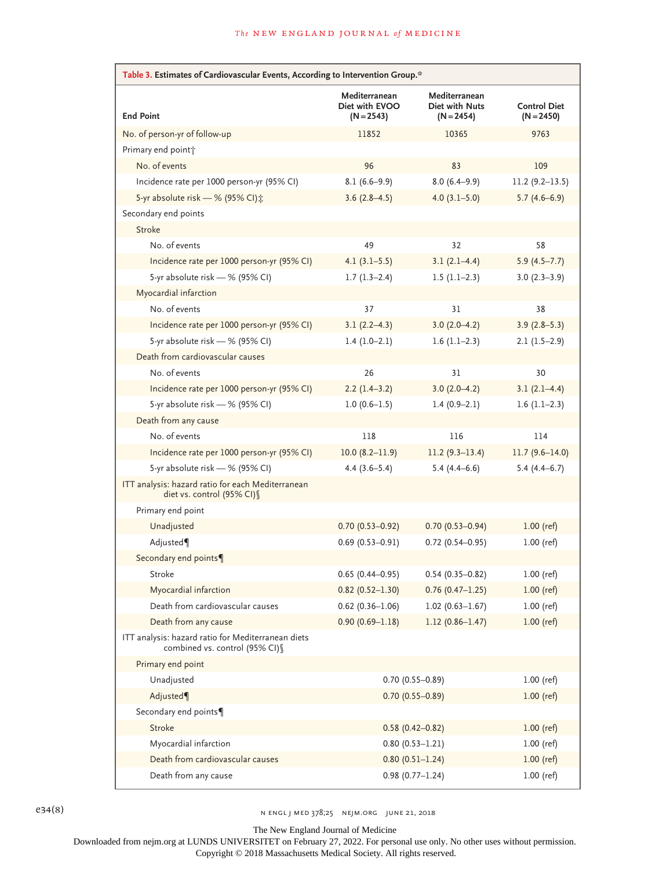| Table 3. Estimates of Cardiovascular Events, According to Intervention Group.*        |                                                 |                                                 |                                     |
|---------------------------------------------------------------------------------------|-------------------------------------------------|-------------------------------------------------|-------------------------------------|
| <b>End Point</b>                                                                      | Mediterranean<br>Diet with EVOO<br>$(N = 2543)$ | Mediterranean<br>Diet with Nuts<br>$(N = 2454)$ | <b>Control Diet</b><br>$(N = 2450)$ |
| No. of person-yr of follow-up                                                         | 11852                                           | 10365                                           | 9763                                |
| Primary end point <sup>+</sup>                                                        |                                                 |                                                 |                                     |
| No. of events                                                                         | 96                                              | 83                                              | 109                                 |
| Incidence rate per 1000 person-yr (95% CI)                                            | $8.1(6.6-9.9)$                                  | $8.0(6.4-9.9)$                                  | $11.2(9.2-13.5)$                    |
| 5-yr absolute risk - % (95% CI) :                                                     | $3.6(2.8-4.5)$                                  | $4.0(3.1 - 5.0)$                                | $5.7(4.6-6.9)$                      |
| Secondary end points                                                                  |                                                 |                                                 |                                     |
| <b>Stroke</b>                                                                         |                                                 |                                                 |                                     |
| No. of events                                                                         | 49                                              | 32                                              | 58                                  |
| Incidence rate per 1000 person-yr (95% CI)                                            | $4.1(3.1-5.5)$                                  | $3.1(2.1-4.4)$                                  | $5.9(4.5 - 7.7)$                    |
| 5-yr absolute risk - % (95% CI)                                                       | $1.7(1.3-2.4)$                                  | $1.5(1.1-2.3)$                                  | $3.0(2.3-3.9)$                      |
| Myocardial infarction                                                                 |                                                 |                                                 |                                     |
| No. of events                                                                         | 37                                              | 31                                              | 38                                  |
| Incidence rate per 1000 person-yr (95% CI)                                            | $3.1(2.2-4.3)$                                  | $3.0(2.0-4.2)$                                  | $3.9(2.8-5.3)$                      |
| 5-yr absolute risk - % (95% CI)                                                       | $1.4(1.0-2.1)$                                  | $1.6(1.1-2.3)$                                  | $2.1(1.5-2.9)$                      |
| Death from cardiovascular causes                                                      |                                                 |                                                 |                                     |
| No. of events                                                                         | 26                                              | 31                                              | 30                                  |
| Incidence rate per 1000 person-yr (95% CI)                                            | $2.2(1.4-3.2)$                                  | $3.0(2.0-4.2)$                                  | $3.1(2.1-4.4)$                      |
| 5-yr absolute risk - % (95% CI)                                                       | $1.0(0.6-1.5)$                                  | $1.4(0.9-2.1)$                                  | $1.6(1.1-2.3)$                      |
| Death from any cause                                                                  |                                                 |                                                 |                                     |
| No. of events                                                                         | 118                                             | 116                                             | 114                                 |
| Incidence rate per 1000 person-yr (95% CI)                                            | $10.0 (8.2 - 11.9)$                             | $11.2(9.3-13.4)$                                | $11.7(9.6-14.0)$                    |
| 5-yr absolute risk - % (95% CI)                                                       | $4.4(3.6-5.4)$                                  | $5.4(4.4-6.6)$                                  | $5.4(4.4-6.7)$                      |
| ITT analysis: hazard ratio for each Mediterranean<br>diet vs. control (95% CI) §      |                                                 |                                                 |                                     |
| Primary end point                                                                     |                                                 |                                                 |                                     |
| Unadjusted                                                                            | $0.70(0.53 - 0.92)$                             | $0.70(0.53 - 0.94)$                             | $1.00$ (ref)                        |
| Adjusted                                                                              | $0.69(0.53 - 0.91)$                             | $0.72$ (0.54-0.95)                              | $1.00$ (ref)                        |
| Secondary end points¶                                                                 |                                                 |                                                 |                                     |
| Stroke                                                                                | $0.65(0.44 - 0.95)$                             | $0.54(0.35 - 0.82)$                             | $1.00$ (ref)                        |
| Myocardial infarction                                                                 | $0.82(0.52 - 1.30)$                             | $0.76(0.47 - 1.25)$                             | $1.00$ (ref)                        |
| Death from cardiovascular causes                                                      | $0.62$ (0.36-1.06)                              | $1.02(0.63 - 1.67)$                             | $1.00$ (ref)                        |
| Death from any cause                                                                  | $0.90(0.69 - 1.18)$                             | $1.12(0.86 - 1.47)$                             | $1.00$ (ref)                        |
| ITT analysis: hazard ratio for Mediterranean diets<br>combined vs. control (95% CI) § |                                                 |                                                 |                                     |
| Primary end point                                                                     |                                                 |                                                 |                                     |
| Unadjusted                                                                            |                                                 | $0.70(0.55 - 0.89)$                             | $1.00$ (ref)                        |
| Adjusted                                                                              |                                                 | $0.70(0.55 - 0.89)$                             | $1.00$ (ref)                        |
| Secondary end points¶                                                                 |                                                 |                                                 |                                     |
| Stroke                                                                                |                                                 | $0.58(0.42 - 0.82)$                             | $1.00$ (ref)                        |
| Myocardial infarction                                                                 |                                                 | $0.80(0.53 - 1.21)$                             | $1.00$ (ref)                        |
| Death from cardiovascular causes                                                      |                                                 | $0.80(0.51 - 1.24)$                             | $1.00$ (ref)                        |
| Death from any cause                                                                  |                                                 | $0.98(0.77 - 1.24)$                             | $1.00$ (ref)                        |

 $e34(8)$  N ENGL J MED 378;25 NEJM.ORG JUNE 21, 2018

The New England Journal of Medicine

Downloaded from nejm.org at LUNDS UNIVERSITET on February 27, 2022. For personal use only. No other uses without permission.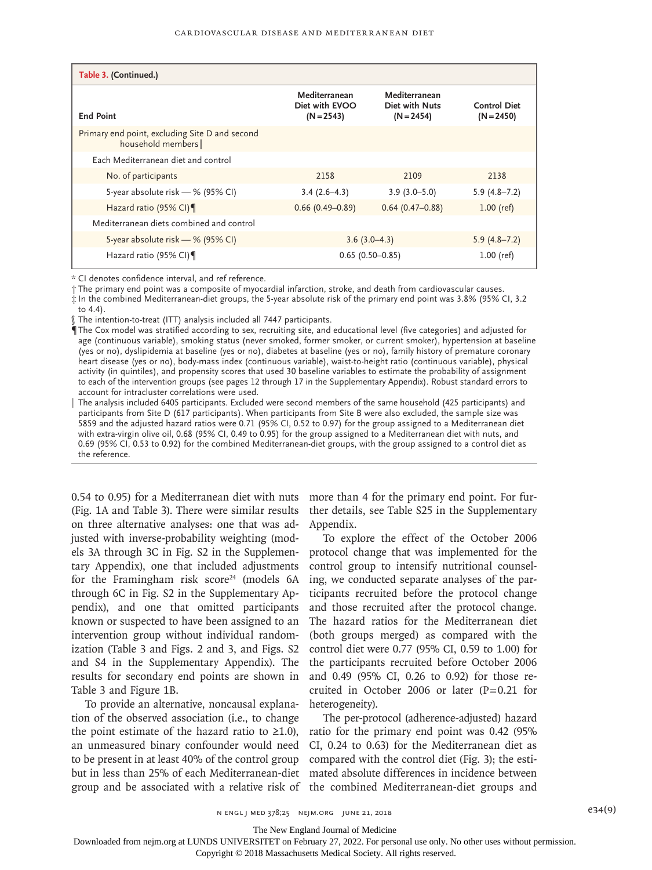| Table 3. (Continued.)                                               |                                                 |                                                 |                                     |
|---------------------------------------------------------------------|-------------------------------------------------|-------------------------------------------------|-------------------------------------|
| <b>End Point</b>                                                    | Mediterranean<br>Diet with EVOO<br>$(N = 2543)$ | Mediterranean<br>Diet with Nuts<br>$(N = 2454)$ | <b>Control Diet</b><br>$(N = 2450)$ |
| Primary end point, excluding Site D and second<br>household members |                                                 |                                                 |                                     |
| Each Mediterranean diet and control                                 |                                                 |                                                 |                                     |
| No. of participants                                                 | 2158                                            | 2109                                            | 2138                                |
| 5-year absolute risk - % (95% CI)                                   | $3.4(2.6-4.3)$                                  | $3.9(3.0 - 5.0)$                                | $5.9(4.8 - 7.2)$                    |
| Hazard ratio (95% CI)                                               | $0.66(0.49 - 0.89)$                             | $0.64(0.47-0.88)$                               | $1.00$ (ref)                        |
| Mediterranean diets combined and control                            |                                                 |                                                 |                                     |
| 5-year absolute risk - % (95% CI)                                   |                                                 | $3.6(3.0-4.3)$                                  | $5.9(4.8 - 7.2)$                    |
| Hazard ratio (95% CI)                                               |                                                 | $0.65(0.50 - 0.85)$                             | $1.00$ (ref)                        |

\* CI denotes confidence interval, and ref reference.

† The primary end point was a composite of myocardial infarction, stroke, and death from cardiovascular causes.

‡ In the combined Mediterranean-diet groups, the 5-year absolute risk of the primary end point was 3.8% (95% CI, 3.2 to 4.4).

§ The intention-to-treat (ITT) analysis included all 7447 participants.

¶ The Cox model was stratified according to sex, recruiting site, and educational level (five categories) and adjusted for age (continuous variable), smoking status (never smoked, former smoker, or current smoker), hypertension at baseline (yes or no), dyslipidemia at baseline (yes or no), diabetes at baseline (yes or no), family history of premature coronary heart disease (yes or no), body-mass index (continuous variable), waist-to-height ratio (continuous variable), physical activity (in quintiles), and propensity scores that used 30 baseline variables to estimate the probability of assignment to each of the intervention groups (see pages 12 through 17 in the Supplementary Appendix). Robust standard errors to account for intracluster correlations were used.

‖ The analysis included 6405 participants. Excluded were second members of the same household (425 participants) and participants from Site D (617 participants). When participants from Site B were also excluded, the sample size was 5859 and the adjusted hazard ratios were 0.71 (95% CI, 0.52 to 0.97) for the group assigned to a Mediterranean diet with extra-virgin olive oil, 0.68 (95% CI, 0.49 to 0.95) for the group assigned to a Mediterranean diet with nuts, and 0.69 (95% CI, 0.53 to 0.92) for the combined Mediterranean-diet groups, with the group assigned to a control diet as the reference.

0.54 to 0.95) for a Mediterranean diet with nuts more than 4 for the primary end point. For fur-(Fig. 1A and Table 3). There were similar results on three alternative analyses: one that was adjusted with inverse-probability weighting (models 3A through 3C in Fig. S2 in the Supplementary Appendix), one that included adjustments for the Framingham risk score<sup>24</sup> (models  $6A$ through 6C in Fig. S2 in the Supplementary Appendix), and one that omitted participants known or suspected to have been assigned to an intervention group without individual randomization (Table 3 and Figs. 2 and 3, and Figs. S2 and S4 in the Supplementary Appendix). The results for secondary end points are shown in Table 3 and Figure 1B.

To provide an alternative, noncausal explanation of the observed association (i.e., to change the point estimate of the hazard ratio to  $\geq 1.0$ ), an unmeasured binary confounder would need to be present in at least 40% of the control group but in less than 25% of each Mediterranean-diet mated absolute differences in incidence between group and be associated with a relative risk of the combined Mediterranean-diet groups and

ther details, see Table S25 in the Supplementary Appendix.

To explore the effect of the October 2006 protocol change that was implemented for the control group to intensify nutritional counseling, we conducted separate analyses of the participants recruited before the protocol change and those recruited after the protocol change. The hazard ratios for the Mediterranean diet (both groups merged) as compared with the control diet were 0.77 (95% CI, 0.59 to 1.00) for the participants recruited before October 2006 and 0.49 (95% CI, 0.26 to 0.92) for those recruited in October 2006 or later  $(P=0.21$  for heterogeneity).

The per-protocol (adherence-adjusted) hazard ratio for the primary end point was 0.42 (95% CI, 0.24 to 0.63) for the Mediterranean diet as compared with the control diet (Fig. 3); the esti-

The New England Journal of Medicine

Downloaded from nejm.org at LUNDS UNIVERSITET on February 27, 2022. For personal use only. No other uses without permission.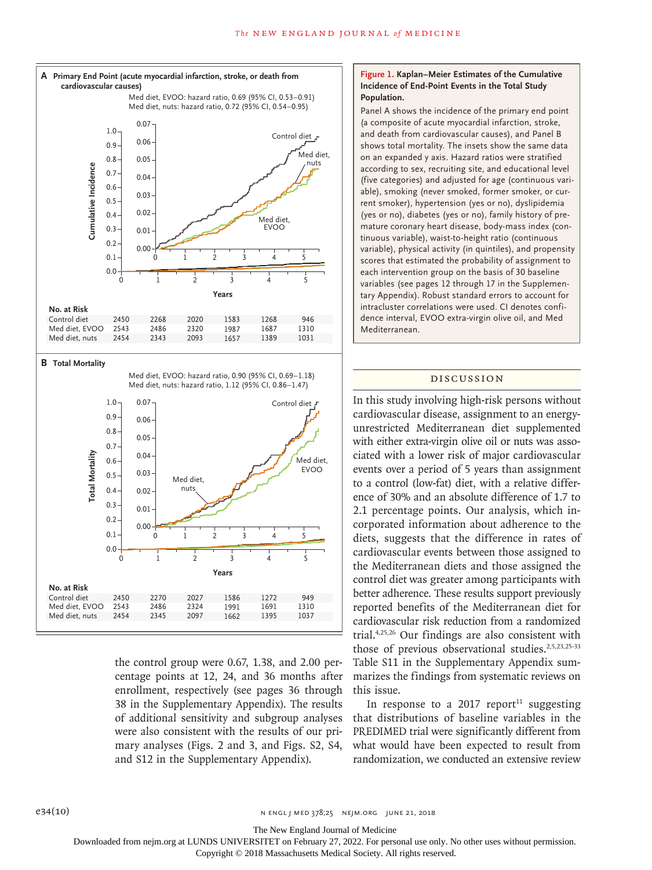



the control group were 0.67, 1.38, and 2.00 percentage points at 12, 24, and 36 months after enrollment, respectively (see pages 36 through 38 in the Supplementary Appendix). The results of additional sensitivity and subgroup analyses were also consistent with the results of our primary analyses (Figs. 2 and 3, and Figs. S2, S4, and S12 in the Supplementary Appendix).

## **Figure 1. Kaplan–Meier Estimates of the Cumulative Incidence of End-Point Events in the Total Study Population.**

Panel A shows the incidence of the primary end point (a composite of acute myocardial infarction, stroke, and death from cardiovascular causes), and Panel B shows total mortality. The insets show the same data on an expanded y axis. Hazard ratios were stratified according to sex, recruiting site, and educational level (five categories) and adjusted for age (continuous variable), smoking (never smoked, former smoker, or current smoker), hypertension (yes or no), dyslipidemia (yes or no), diabetes (yes or no), family history of premature coronary heart disease, body-mass index (continuous variable), waist-to-height ratio (continuous variable), physical activity (in quintiles), and propensity scores that estimated the probability of assignment to each intervention group on the basis of 30 baseline variables (see pages 12 through 17 in the Supplementary Appendix). Robust standard errors to account for intracluster correlations were used. CI denotes confidence interval, EVOO extra-virgin olive oil, and Med Mediterranean.

#### Discussion

In this study involving high-risk persons without cardiovascular disease, assignment to an energyunrestricted Mediterranean diet supplemented with either extra-virgin olive oil or nuts was associated with a lower risk of major cardiovascular events over a period of 5 years than assignment to a control (low-fat) diet, with a relative difference of 30% and an absolute difference of 1.7 to 2.1 percentage points. Our analysis, which incorporated information about adherence to the diets, suggests that the difference in rates of cardiovascular events between those assigned to the Mediterranean diets and those assigned the control diet was greater among participants with better adherence. These results support previously reported benefits of the Mediterranean diet for cardiovascular risk reduction from a randomized trial.4,25,26 Our findings are also consistent with those of previous observational studies.<sup>2,5,23,25-33</sup> Table S11 in the Supplementary Appendix summarizes the findings from systematic reviews on this issue.

In response to a 2017 report<sup>11</sup> suggesting that distributions of baseline variables in the PREDIMED trial were significantly different from what would have been expected to result from randomization, we conducted an extensive review

The New England Journal of Medicine

Downloaded from nejm.org at LUNDS UNIVERSITET on February 27, 2022. For personal use only. No other uses without permission.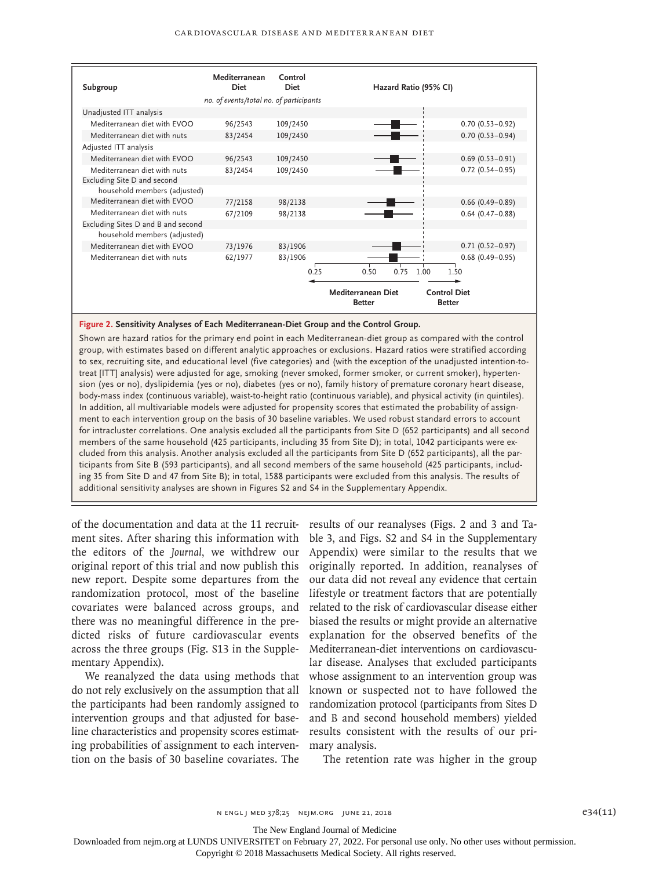| Subgroup                                                           | Mediterranean<br><b>Diet</b>            | Control<br><b>Diet</b> | Hazard Ratio (95% CI)                                                       |                     |
|--------------------------------------------------------------------|-----------------------------------------|------------------------|-----------------------------------------------------------------------------|---------------------|
|                                                                    | no. of events/total no. of participants |                        |                                                                             |                     |
| Unadjusted ITT analysis                                            |                                         |                        |                                                                             |                     |
| Mediterranean diet with EVOO                                       | 96/2543                                 | 109/2450               |                                                                             | $0.70(0.53 - 0.92)$ |
| Mediterranean diet with nuts                                       | 83/2454                                 | 109/2450               |                                                                             | $0.70(0.53 - 0.94)$ |
| Adjusted ITT analysis                                              |                                         |                        |                                                                             |                     |
| Mediterranean diet with EVOO                                       | 96/2543                                 | 109/2450               |                                                                             | $0.69(0.53 - 0.91)$ |
| Mediterranean diet with nuts                                       | 83/2454                                 | 109/2450               |                                                                             | $0.72$ (0.54-0.95)  |
| Excluding Site D and second                                        |                                         |                        |                                                                             |                     |
| household members (adjusted)                                       |                                         |                        |                                                                             |                     |
| Mediterranean diet with EVOO                                       | 77/2158                                 | 98/2138                |                                                                             | $0.66$ (0.49-0.89)  |
| Mediterranean diet with nuts                                       | 67/2109                                 | 98/2138                |                                                                             | $0.64$ (0.47-0.88)  |
| Excluding Sites D and B and second<br>household members (adjusted) |                                         |                        |                                                                             |                     |
| Mediterranean diet with EVOO                                       | 73/1976                                 | 83/1906                |                                                                             | $0.71(0.52 - 0.97)$ |
| Mediterranean diet with nuts                                       | 62/1977                                 | 83/1906                |                                                                             | $0.68$ (0.49-0.95)  |
|                                                                    |                                         | 0.25                   | 0.75<br>1.00<br>0.50                                                        | 1.50                |
|                                                                    |                                         |                        | Mediterranean Diet<br><b>Control Diet</b><br><b>Better</b><br><b>Better</b> |                     |

# **Figure 2. Sensitivity Analyses of Each Mediterranean-Diet Group and the Control Group.**

Shown are hazard ratios for the primary end point in each Mediterranean-diet group as compared with the control group, with estimates based on different analytic approaches or exclusions. Hazard ratios were stratified according to sex, recruiting site, and educational level (five categories) and (with the exception of the unadjusted intention-totreat [ITT] analysis) were adjusted for age, smoking (never smoked, former smoker, or current smoker), hypertension (yes or no), dyslipidemia (yes or no), diabetes (yes or no), family history of premature coronary heart disease, body-mass index (continuous variable), waist-to-height ratio (continuous variable), and physical activity (in quintiles). In addition, all multivariable models were adjusted for propensity scores that estimated the probability of assignment to each intervention group on the basis of 30 baseline variables. We used robust standard errors to account for intracluster correlations. One analysis excluded all the participants from Site D (652 participants) and all second members of the same household (425 participants, including 35 from Site D); in total, 1042 participants were excluded from this analysis. Another analysis excluded all the participants from Site D (652 participants), all the participants from Site B (593 participants), and all second members of the same household (425 participants, including 35 from Site D and 47 from Site B); in total, 1588 participants were excluded from this analysis. The results of additional sensitivity analyses are shown in Figures S2 and S4 in the Supplementary Appendix.

of the documentation and data at the 11 recruitment sites. After sharing this information with the editors of the *Journal*, we withdrew our original report of this trial and now publish this new report. Despite some departures from the randomization protocol, most of the baseline covariates were balanced across groups, and there was no meaningful difference in the predicted risks of future cardiovascular events across the three groups (Fig. S13 in the Supplementary Appendix).

We reanalyzed the data using methods that do not rely exclusively on the assumption that all the participants had been randomly assigned to intervention groups and that adjusted for baseline characteristics and propensity scores estimating probabilities of assignment to each intervention on the basis of 30 baseline covariates. The

results of our reanalyses (Figs. 2 and 3 and Table 3, and Figs. S2 and S4 in the Supplementary Appendix) were similar to the results that we originally reported. In addition, reanalyses of our data did not reveal any evidence that certain lifestyle or treatment factors that are potentially related to the risk of cardiovascular disease either biased the results or might provide an alternative explanation for the observed benefits of the Mediterranean-diet interventions on cardiovascular disease. Analyses that excluded participants whose assignment to an intervention group was known or suspected not to have followed the randomization protocol (participants from Sites D and B and second household members) yielded results consistent with the results of our primary analysis.

The retention rate was higher in the group

The New England Journal of Medicine

Downloaded from nejm.org at LUNDS UNIVERSITET on February 27, 2022. For personal use only. No other uses without permission.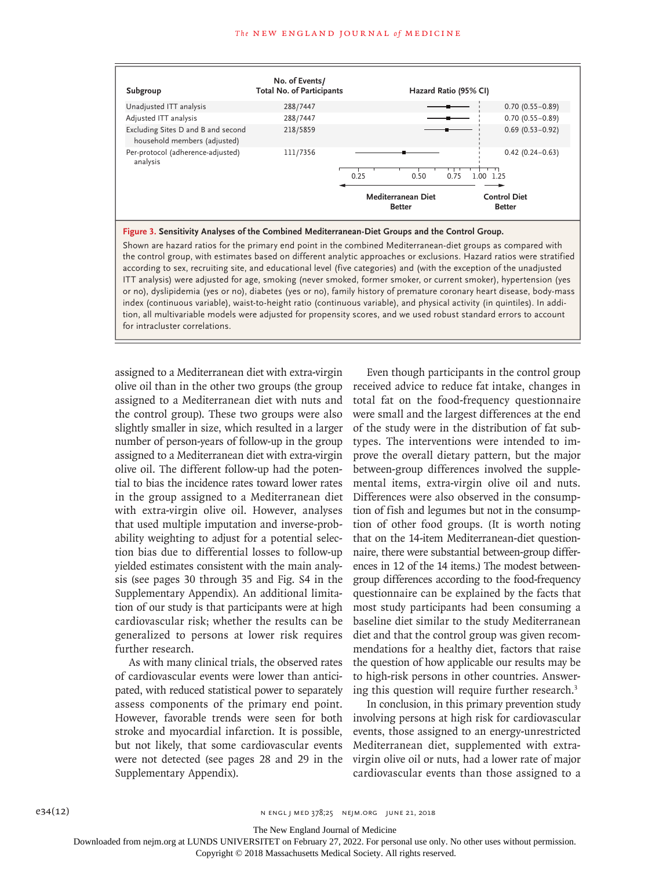

#### **Figure 3. Sensitivity Analyses of the Combined Mediterranean-Diet Groups and the Control Group.**

Shown are hazard ratios for the primary end point in the combined Mediterranean-diet groups as compared with the control group, with estimates based on different analytic approaches or exclusions. Hazard ratios were stratified according to sex, recruiting site, and educational level (five categories) and (with the exception of the unadjusted ITT analysis) were adjusted for age, smoking (never smoked, former smoker, or current smoker), hypertension (yes or no), dyslipidemia (yes or no), diabetes (yes or no), family history of premature coronary heart disease, body-mass index (continuous variable), waist-to-height ratio (continuous variable), and physical activity (in quintiles). In addition, all multivariable models were adjusted for propensity scores, and we used robust standard errors to account for intracluster correlations.

assigned to a Mediterranean diet with extra-virgin olive oil than in the other two groups (the group assigned to a Mediterranean diet with nuts and the control group). These two groups were also slightly smaller in size, which resulted in a larger number of person-years of follow-up in the group assigned to a Mediterranean diet with extra-virgin olive oil. The different follow-up had the potential to bias the incidence rates toward lower rates in the group assigned to a Mediterranean diet with extra-virgin olive oil. However, analyses that used multiple imputation and inverse-probability weighting to adjust for a potential selection bias due to differential losses to follow-up yielded estimates consistent with the main analysis (see pages 30 through 35 and Fig. S4 in the Supplementary Appendix). An additional limitation of our study is that participants were at high cardiovascular risk; whether the results can be generalized to persons at lower risk requires further research.

As with many clinical trials, the observed rates of cardiovascular events were lower than anticipated, with reduced statistical power to separately assess components of the primary end point. However, favorable trends were seen for both stroke and myocardial infarction. It is possible, but not likely, that some cardiovascular events were not detected (see pages 28 and 29 in the Supplementary Appendix).

Even though participants in the control group received advice to reduce fat intake, changes in total fat on the food-frequency questionnaire were small and the largest differences at the end of the study were in the distribution of fat subtypes. The interventions were intended to improve the overall dietary pattern, but the major between-group differences involved the supplemental items, extra-virgin olive oil and nuts. Differences were also observed in the consumption of fish and legumes but not in the consumption of other food groups. (It is worth noting that on the 14-item Mediterranean-diet questionnaire, there were substantial between-group differences in 12 of the 14 items.) The modest betweengroup differences according to the food-frequency questionnaire can be explained by the facts that most study participants had been consuming a baseline diet similar to the study Mediterranean diet and that the control group was given recommendations for a healthy diet, factors that raise the question of how applicable our results may be to high-risk persons in other countries. Answering this question will require further research.3

In conclusion, in this primary prevention study involving persons at high risk for cardiovascular events, those assigned to an energy-unrestricted Mediterranean diet, supplemented with extravirgin olive oil or nuts, had a lower rate of major cardiovascular events than those assigned to a

The New England Journal of Medicine

Downloaded from nejm.org at LUNDS UNIVERSITET on February 27, 2022. For personal use only. No other uses without permission.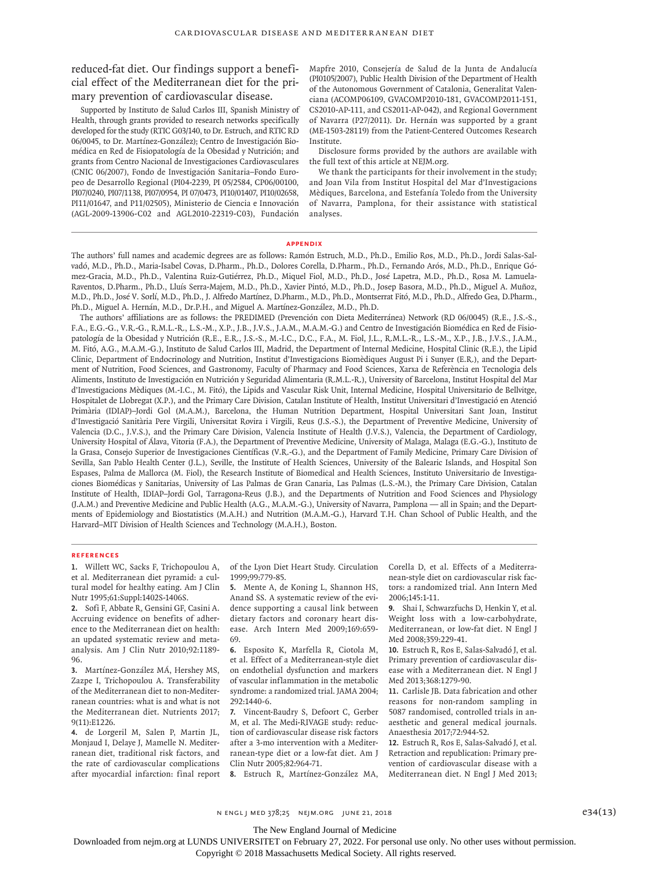reduced-fat diet. Our findings support a beneficial effect of the Mediterranean diet for the primary prevention of cardiovascular disease.

Supported by Instituto de Salud Carlos III, Spanish Ministry of Health, through grants provided to research networks specifically developed for the study (RTIC G03/140, to Dr. Estruch, and RTIC RD 06/0045, to Dr. Martínez-González); Centro de Investigación Biomédica en Red de Fisiopatología de la Obesidad y Nutrición; and grants from Centro Nacional de Investigaciones Cardiovasculares (CNIC 06/2007), Fondo de Investigación Sanitaria–Fondo Europeo de Desarrollo Regional (PI04-2239, PI 05/2584, CP06/00100, PI07/0240, PI07/1138, PI07/0954, PI 07/0473, PI10/01407, PI10/02658, PI11/01647, and P11/02505), Ministerio de Ciencia e Innovación (AGL-2009-13906-C02 and AGL2010-22319-C03), Fundación Mapfre 2010, Consejería de Salud de la Junta de Andalucía (PI0105/2007), Public Health Division of the Department of Health of the Autonomous Government of Catalonia, Generalitat Valenciana (ACOMP06109, GVACOMP2010-181, GVACOMP2011-151, CS2010-AP-111, and CS2011-AP-042), and Regional Government of Navarra (P27/2011). Dr. Hernán was supported by a grant (ME-1503-28119) from the Patient-Centered Outcomes Research Institute.

Disclosure forms provided by the authors are available with the full text of this article at NEJM.org.

We thank the participants for their involvement in the study; and Joan Vila from Institut Hospital del Mar d'Investigacions Mèdiques, Barcelona, and Estefanía Toledo from the University of Navarra, Pamplona, for their assistance with statistical analyses.

#### **Appendix**

The authors' full names and academic degrees are as follows: Ramón Estruch, M.D., Ph.D., Emilio Ros, M.D., Ph.D., Jordi Salas-Salvadó, M.D., Ph.D., Maria-Isabel Covas, D.Pharm., Ph.D., Dolores Corella, D.Pharm., Ph.D., Fernando Arós, M.D., Ph.D., Enrique Gómez-Gracia, M.D., Ph.D., Valentina Ruiz-Gutiérrez, Ph.D., Miquel Fiol, M.D., Ph.D., José Lapetra, M.D., Ph.D., Rosa M. Lamuela-Raventos, D.Pharm., Ph.D., Lluís Serra-Majem, M.D., Ph.D., Xavier Pintó, M.D., Ph.D., Josep Basora, M.D., Ph.D., Miguel A. Muñoz, M.D., Ph.D., José V. Sorlí, M.D., Ph.D., J. Alfredo Martínez, D.Pharm., M.D., Ph.D., Montserrat Fitó, M.D., Ph.D., Alfredo Gea, D.Pharm., Ph.D., Miguel A. Hernán, M.D., Dr.P.H., and Miguel A. Martínez-González, M.D., Ph.D.

The authors' affiliations are as follows: the PREDIMED (Prevención con Dieta Mediterránea) Network (RD 06/0045) (R.E., J.S.-S., F.A., E.G.-G., V.R.-G., R.M.L.-R., L.S.-M., X.P., J.B., J.V.S., J.A.M., M.A.M.-G.) and Centro de Investigación Biomédica en Red de Fisiopatología de la Obesidad y Nutrición (R.E., E.R., J.S.-S., M.-I.C., D.C., F.A., M. Fiol, J.L., R.M.L.-R., L.S.-M., X.P., J.B., J.V.S., J.A.M., M. Fitó, A.G., M.A.M.-G.), Instituto de Salud Carlos III, Madrid, the Department of Internal Medicine, Hospital Clinic (R.E.), the Lipid Clinic, Department of Endocrinology and Nutrition, Institut d'Investigacions Biomèdiques August Pi i Sunyer (E.R.), and the Department of Nutrition, Food Sciences, and Gastronomy, Faculty of Pharmacy and Food Sciences, Xarxa de Referència en Tecnologia dels Aliments, Instituto de Investigación en Nutrición y Seguridad Alimentaria (R.M.L.-R.), University of Barcelona, Institut Hospital del Mar d'Investigacions Mèdiques (M.-I.C., M. Fitó), the Lipids and Vascular Risk Unit, Internal Medicine, Hospital Universitario de Bellvitge, Hospitalet de Llobregat (X.P.), and the Primary Care Division, Catalan Institute of Health, Institut Universitari d'Investigació en Atenció Primària (IDIAP)–Jordi Gol (M.A.M.), Barcelona, the Human Nutrition Department, Hospital Universitari Sant Joan, Institut d'Investigació Sanitària Pere Virgili, Universitat Rovira i Virgili, Reus (J.S.-S.), the Department of Preventive Medicine, University of Valencia (D.C., J.V.S.), and the Primary Care Division, Valencia Institute of Health (J.V.S.), Valencia, the Department of Cardiology, University Hospital of Álava, Vitoria (F.A.), the Department of Preventive Medicine, University of Malaga, Malaga (E.G.-G.), Instituto de la Grasa, Consejo Superior de Investigaciones Científicas (V.R.-G.), and the Department of Family Medicine, Primary Care Division of Sevilla, San Pablo Health Center (J.L.), Seville, the Institute of Health Sciences, University of the Balearic Islands, and Hospital Son Espases, Palma de Mallorca (M. Fiol), the Research Institute of Biomedical and Health Sciences, Instituto Universitario de Investigaciones Biomédicas y Sanitarias, University of Las Palmas de Gran Canaria, Las Palmas (L.S.-M.), the Primary Care Division, Catalan Institute of Health, IDIAP–Jordi Gol, Tarragona-Reus (J.B.), and the Departments of Nutrition and Food Sciences and Physiology (J.A.M.) and Preventive Medicine and Public Health (A.G., M.A.M.-G.), University of Navarra, Pamplona — all in Spain; and the Departments of Epidemiology and Biostatistics (M.A.H.) and Nutrition (M.A.M.-G.), Harvard T.H. Chan School of Public Health, and the Harvard–MIT Division of Health Sciences and Technology (M.A.H.), Boston.

#### **References**

**1.** Willett WC, Sacks F, Trichopoulou A, et al. Mediterranean diet pyramid: a cultural model for healthy eating. Am J Clin Nutr 1995;61:Suppl:1402S-1406S.

**2.** Sofi F, Abbate R, Gensini GF, Casini A. Accruing evidence on benefits of adherence to the Mediterranean diet on health: an updated systematic review and metaanalysis. Am J Clin Nutr 2010;92:1189- 96.

**3.** Martínez-González MÁ, Hershey MS, Zazpe I, Trichopoulou A. Transferability of the Mediterranean diet to non-Mediterranean countries: what is and what is not the Mediterranean diet. Nutrients 2017; 9(11):E1226.

**4.** de Lorgeril M, Salen P, Martin JL, Monjaud I, Delaye J, Mamelle N. Mediterranean diet, traditional risk factors, and the rate of cardiovascular complications after myocardial infarction: final report of the Lyon Diet Heart Study. Circulation 1999;99:779-85.

**5.** Mente A, de Koning L, Shannon HS, Anand SS. A systematic review of the evidence supporting a causal link between dietary factors and coronary heart disease. Arch Intern Med 2009;169:659- 69.

**6.** Esposito K, Marfella R, Ciotola M, et al. Effect of a Mediterranean-style diet on endothelial dysfunction and markers of vascular inflammation in the metabolic syndrome: a randomized trial. JAMA 2004; 292:1440-6.

**7.** Vincent-Baudry S, Defoort C, Gerber M, et al. The Medi-RIVAGE study: reduction of cardiovascular disease risk factors after a 3-mo intervention with a Mediterranean-type diet or a low-fat diet. Am J Clin Nutr 2005;82:964-71.

**8.** Estruch R, Martínez-González MA,

Corella D, et al. Effects of a Mediterranean-style diet on cardiovascular risk factors: a randomized trial. Ann Intern Med 2006;145:1-11.

**9.** Shai I, Schwarzfuchs D, Henkin Y, et al. Weight loss with a low-carbohydrate, Mediterranean, or low-fat diet. N Engl J Med 2008;359:229-41.

**10.** Estruch R, Ros E, Salas-Salvadó J, et al. Primary prevention of cardiovascular disease with a Mediterranean diet. N Engl J Med 2013;368:1279-90.

**11.** Carlisle JB. Data fabrication and other reasons for non-random sampling in 5087 randomised, controlled trials in anaesthetic and general medical journals. Anaesthesia 2017;72:944-52.

**12.** Estruch R, Ros E, Salas-Salvadó J, et al. Retraction and republication: Primary prevention of cardiovascular disease with a Mediterranean diet. N Engl J Med 2013;

 $N$  ENGL J MED 378;25 NEJM.ORG JUNE 21, 2018 e34(13)

The New England Journal of Medicine

Downloaded from nejm.org at LUNDS UNIVERSITET on February 27, 2022. For personal use only. No other uses without permission.